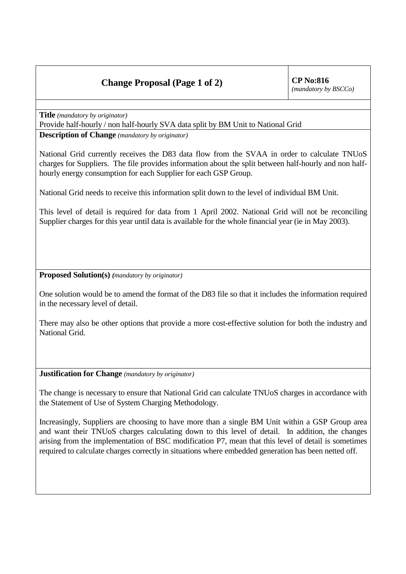## **Change Proposal (Page 1 of 2)** CP No:816

**Title** *(mandatory by originator)*

Provide half-hourly / non half-hourly SVA data split by BM Unit to National Grid

**Description of Change** *(mandatory by originator)*

National Grid currently receives the D83 data flow from the SVAA in order to calculate TNUoS charges for Suppliers. The file provides information about the split between half-hourly and non halfhourly energy consumption for each Supplier for each GSP Group.

National Grid needs to receive this information split down to the level of individual BM Unit.

This level of detail is required for data from 1 April 2002. National Grid will not be reconciling Supplier charges for this year until data is available for the whole financial year (ie in May 2003).

**Proposed Solution(s)** *(mandatory by originator)*

One solution would be to amend the format of the D83 file so that it includes the information required in the necessary level of detail.

There may also be other options that provide a more cost-effective solution for both the industry and National Grid.

**Justification for Change** *(mandatory by originator)*

The change is necessary to ensure that National Grid can calculate TNUoS charges in accordance with the Statement of Use of System Charging Methodology.

Increasingly, Suppliers are choosing to have more than a single BM Unit within a GSP Group area and want their TNUoS charges calculating down to this level of detail. In addition, the changes arising from the implementation of BSC modification P7, mean that this level of detail is sometimes required to calculate charges correctly in situations where embedded generation has been netted off.